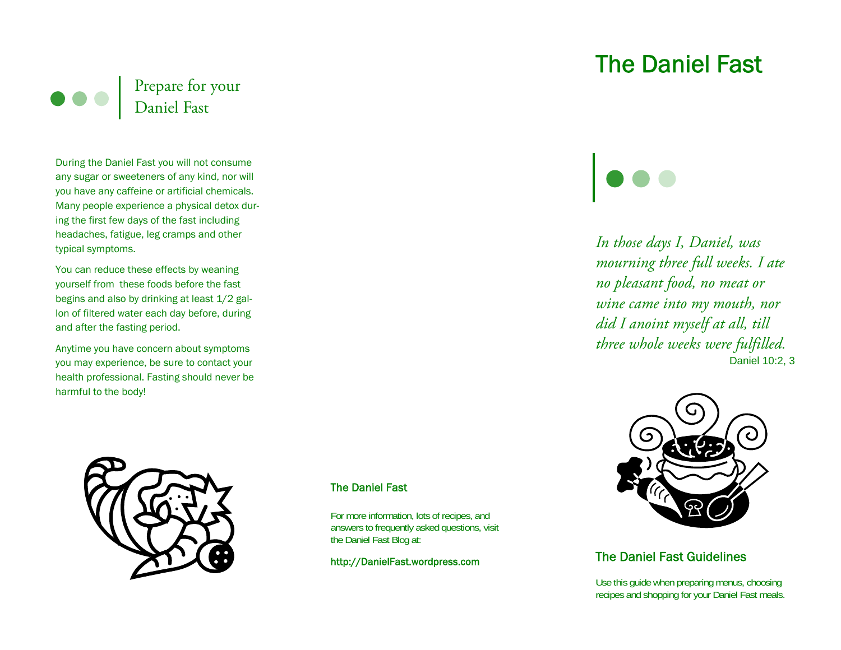

During the Daniel Fast you will not consume any sugar or sweeteners of any kind, nor will you have any caffeine or artificial chemicals. Many people experience a physical detox during the first few days of the fast including headaches, fatigue, leg cramps and other typical symptoms.

You can reduce these effects by weaning yourself from these foods before the fast begins and also by drinking at least 1/2 gallon of filtered water each day before, during and after the fasting period.

Anytime you have concern about symptoms you may experience, be sure to contact your health professional. Fasting should never be harmful to the body!



## The Daniel Fast

For more information, lots of recipes, and answers to frequently asked questions, visit the Daniel Fast Blog at:

http://DanielFast.wordpress.com

# The Daniel Fast

*In those days I, Daniel, was mourning three full weeks. I ate no pleasant food, no meat or wine came into my mouth, nor did I anoint myself at all, till three whole weeks were fulfilled.*  Daniel 10:2, 3



# The Daniel Fast Guidelines

Use this guide when preparing menus, choosing recipes and shopping for your Daniel Fast meals.